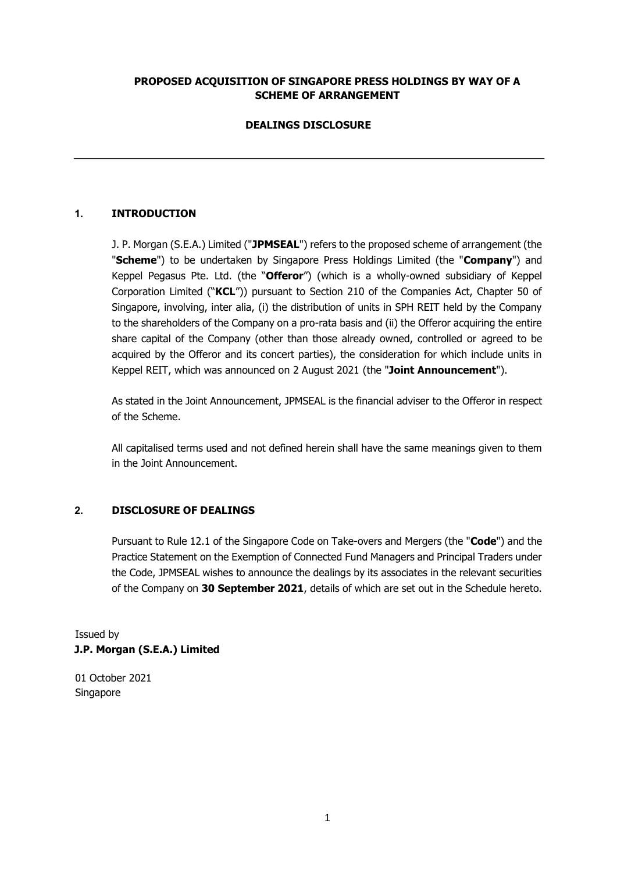#### **PROPOSED ACQUISITION OF SINGAPORE PRESS HOLDINGS BY WAY OF A SCHEME OF ARRANGEMENT**

# **DEALINGS DISCLOSURE**

# **1. INTRODUCTION**

J. P. Morgan (S.E.A.) Limited ("**JPMSEAL**") refers to the proposed scheme of arrangement (the "**Scheme**") to be undertaken by Singapore Press Holdings Limited (the "**Company**") and Keppel Pegasus Pte. Ltd. (the "**Offeror**") (which is a wholly-owned subsidiary of Keppel Corporation Limited ("**KCL**")) pursuant to Section 210 of the Companies Act, Chapter 50 of Singapore, involving, inter alia, (i) the distribution of units in SPH REIT held by the Company to the shareholders of the Company on a pro-rata basis and (ii) the Offeror acquiring the entire share capital of the Company (other than those already owned, controlled or agreed to be acquired by the Offeror and its concert parties), the consideration for which include units in Keppel REIT, which was announced on 2 August 2021 (the "**Joint Announcement**").

As stated in the Joint Announcement, JPMSEAL is the financial adviser to the Offeror in respect of the Scheme.

All capitalised terms used and not defined herein shall have the same meanings given to them in the Joint Announcement.

#### **2. DISCLOSURE OF DEALINGS**

Pursuant to Rule 12.1 of the Singapore Code on Take-overs and Mergers (the "**Code**") and the Practice Statement on the Exemption of Connected Fund Managers and Principal Traders under the Code, JPMSEAL wishes to announce the dealings by its associates in the relevant securities of the Company on **30 September 2021**, details of which are set out in the Schedule hereto.

Issued by **J.P. Morgan (S.E.A.) Limited** 

01 October 2021 Singapore